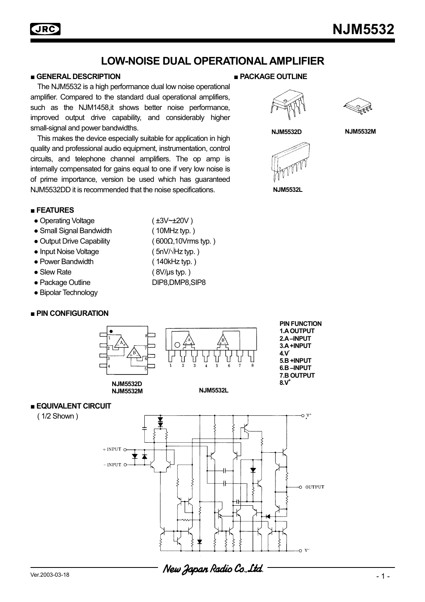## **■ GENERAL DESCRIPTION ■ PACKAGE OUTLINE**

**JRC** 

 The NJM5532 is a high performance dual low noise operational amplifier. Compared to the standard dual operational amplifiers, such as the NJM1458, it shows better noise performance, improved output drive capability, and considerably higher small-signal and power bandwidths.

 This makes the device especially suitable for application in high quality and professional audio equipment, instrumentation, control circuits, and telephone channel amplifiers. The op amp is internally compensated for gains equal to one if very low noise is of prime importance, version be used which has guaranteed NJM5532DD it is recommended that the noise specifications.









**NJM5532L** 

## **■ FEATURES**

- Operating Voltage (±3V~±20V)
- Small Signal Bandwidth ( 10MHz typ. )
- Output Drive Capability ( 600Ω,10Vrms typ. )
- Input Noise Voltage ( 5nV/ $\sqrt{Hz}$  typ. )
- Power Bandwidth ( 140kHz typ. )
- Slew Rate ( 8V/µs typ.)
- 
- Bipolar Technology

## **■ PIN CONFIGURATION**



- 
- 
- Package Outline DIP8,DMP8,SIP8



### **■ EQUIVALENT CIRCUIT**

( 1/2 Shown )

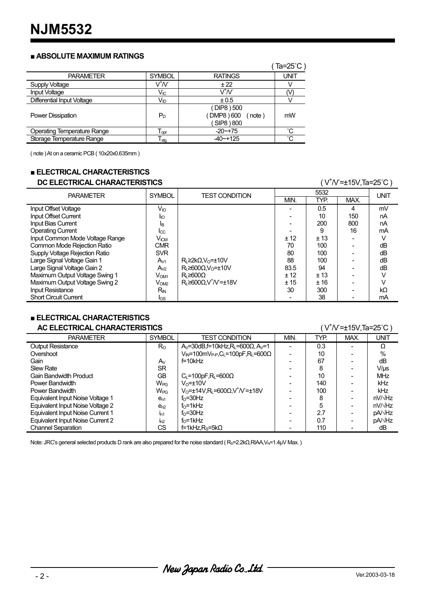## **■ ABSOLUTE MAXIMUM RATINGS**

|                                    |                              |                                                  | (Ta=25°C)    |
|------------------------------------|------------------------------|--------------------------------------------------|--------------|
| <b>PARAMETER</b>                   | <b>SYMBOL</b>                | <b>RATINGS</b>                                   | UNIT         |
| <b>Supply Voltage</b>              | $\bar{V}^{\dagger}N$         | ± 22                                             |              |
| Input Voltage                      | V <sub>IC</sub>              | VtV                                              | N            |
| <b>Differential Input Voltage</b>  | Vıd                          | ± 0.5                                            |              |
| <b>Power Dissipation</b>           | $P_D$                        | (DIP8) 500<br>DMP8 ) 600<br>(note)<br>SIP8 ) 800 | mW           |
| <b>Operating Temperature Range</b> | ${\mathsf T}_{\mathsf{opr}}$ | $-20$ $-175$                                     | °С           |
| Storage Temperature Range          | $\mathsf{T}_{\textsf{stg}}$  | $-40$ $-+125$                                    | $^{\circ}$ C |

( note ) At on a ceramic PCB ( 10x20x0.635mm )

## **■ ELECTRICAL CHARACTERISTICS**

# **DC ELECTRICAL CHARACTERISTICS**

| DC ELECTRICAL CHARACTERISTICS         |                    |                                                     | (V <sup>+</sup> /V=±15V,Ta=25°C ) |      |      |             |
|---------------------------------------|--------------------|-----------------------------------------------------|-----------------------------------|------|------|-------------|
| <b>PARAMETER</b>                      |                    | <b>TEST CONDITION</b>                               | 5532                              |      |      | <b>UNIT</b> |
|                                       | <b>SYMBOL</b>      |                                                     | MIN.                              | TYP. | MAX. |             |
| Input Offset Voltage                  | $V_{IO}$           |                                                     |                                   | 0.5  | 4    | mV          |
| <b>Input Offset Current</b>           | <b>I</b> IO        |                                                     |                                   | 10   | 150  | nA          |
| <b>Input Bias Current</b>             | ΙB                 |                                                     |                                   | 200  | 800  | nA          |
| <b>Operating Current</b>              | $_{\rm lcc}$       |                                                     |                                   | 9    | 16   | mA          |
| Input Common Mode Voltage Range       | $V_{\mathsf{ICM}}$ |                                                     | ± 12                              | ±13  |      |             |
| Common Mode Rejection Ratio           | <b>CMR</b>         |                                                     | 70                                | 100  |      | dB          |
| <b>Supply Voltage Rejection Ratio</b> | <b>SVR</b>         |                                                     | 80                                | 100  |      | dB          |
| Large Signal Voltage Gain 1           | $A_{V1}$           | $R_{L} \geq 2k\Omega$ , $V_{O} = \pm 10V$           | 88                                | 100  |      | dB          |
| Large Signal Voltage Gain 2           | $A_{V2}$           | $R_i \geq 600 \Omega$ . V <sub>o</sub> = $\pm 10$ V | 83.5                              | 94   |      | dB          |
| Maximum Output Voltage Swing 1        | V <sub>OM1</sub>   | $Rl ≥ 600\Omega$                                    | ± 12                              | ± 13 |      | V           |
| Maximum Output Voltage Swing 2        | V <sub>OM2</sub>   | $R_1 \geq 600 \Omega$ , $V^{\dagger} N = \pm 18 V$  | ±15                               | ±16  |      |             |
| <b>Input Resistance</b>               | R <sub>IN</sub>    |                                                     | 30                                | 300  |      | kΩ          |
| <b>Short Circuit Current</b>          | $\log$             |                                                     |                                   | 38   |      | mA          |

# **■ ELECTRICAL CHARACTERISTICS**

## **AC ELECTRICAL CHARACTERISTICS**

 $N=+15V$ ,Ta=25°C)

| <b>PARAMETER</b>                 | <b>SYMBOL</b>         | TEST CONDITION                                                                                                             | MIN. | TYP. | MAX. | unit            |
|----------------------------------|-----------------------|----------------------------------------------------------------------------------------------------------------------------|------|------|------|-----------------|
| <b>Output Resistance</b>         | $R_{\rm O}$           | $A_V = 30dB$ , f=10kHz, R <sub>L</sub> =600Ω, A $V = 1$                                                                    |      | 0.3  |      | Ω               |
| Overshoot                        |                       | $V_{\mathsf{IN}}$ =100m $V_{\mathsf{P}\text{-}\mathsf{P}}, C_{\mathsf{L}}$ =100pF, $\mathsf{R}_{\mathsf{L}}$ =600 $\Omega$ |      | 10   |      | $\%$            |
| Gain                             | Av                    | $f=10kHz$                                                                                                                  |      | 67   |      | dB              |
| <b>Slew Rate</b>                 | <b>SR</b>             |                                                                                                                            |      | 8    |      | $V/\mu s$       |
| <b>Gain Bandwidth Product</b>    | GВ                    | $C_L = 100pF, R_L = 600\Omega$                                                                                             |      | 10   |      | <b>MHz</b>      |
| Power Bandwidth                  | <b>W<sub>PG</sub></b> | $V_0 = \pm 10V$                                                                                                            |      | 140  |      | kHz             |
| Power Bandwidth                  | W <sub>PG</sub>       | $V_0$ =±14V,R <sub>L</sub> =600 $\Omega$ ,V <sup>+</sup> N <sup>-</sup> =±18V                                              |      | 100  |      | kHz             |
| Equivalent Input Noise Voltage 1 | $e_{n1}$              | f <sub>o</sub> =30Hz                                                                                                       |      | 8    |      | $nV/\sqrt{Hz}$  |
| Equivalent Input Noise Voltage 2 | e <sub>n2</sub>       | $f0=1kHz$                                                                                                                  |      | 5    |      | $nV/\sqrt{Hz}$  |
| Equivalent Input Noise Current 1 | In1                   | f <sub>o</sub> =30Hz                                                                                                       |      | 27   |      | pA/√Hz          |
| Equivalent Input Noise Current 2 | In2                   | fo=1kHz                                                                                                                    |      | 0.7  |      | pA/ $\sqrt{Hz}$ |
| <b>Channel Separation</b>        | СS                    | $f=1kHz$ , R <sub>s</sub> =5k $\Omega$                                                                                     |      | 110  |      | dB              |

Note: JRC's general selected products D rank are also prepared for the noise standard (R<sub>S</sub>=2.2kΩ,RIAA,V<sub>N</sub>=1.4µV Max.)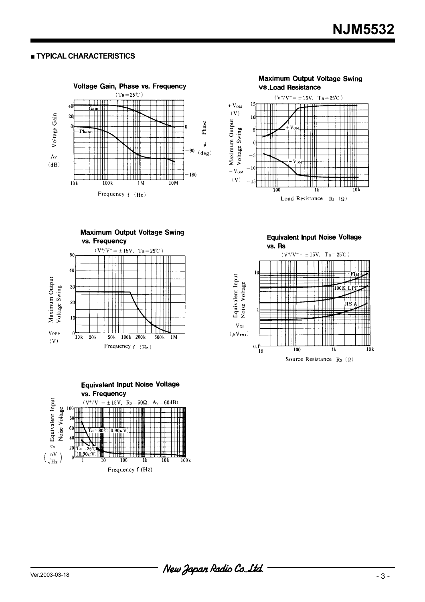### **■ TYPICAL CHARACTERISTICS**











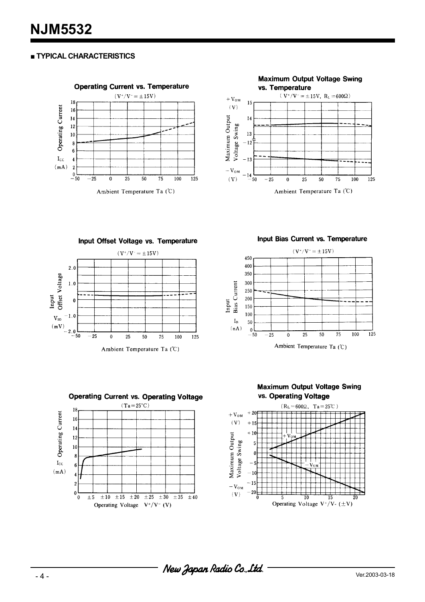## **■ TYPICAL CHARACTERISTICS**





Input Offset Voltage vs. Temperature



Input Bias Current vs. Temperature





**Maximum Output Voltage Swing** vs. Operating Voltage